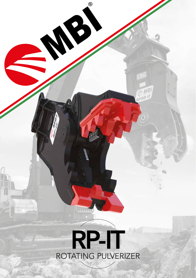

 $\circledcirc$